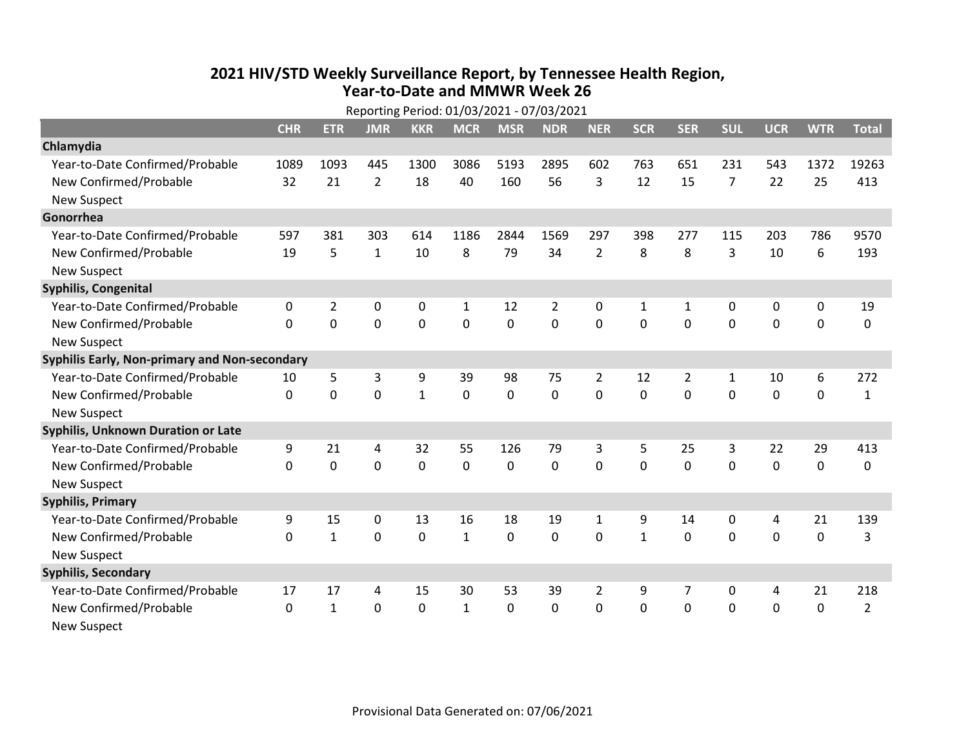## 2021 HIV/STD Weekly Surveillance Report, by Tennessee Health Region, Year-to-Date and MMWR Week 26

| Reporting Period: 01/03/2021 - 07/03/2021     |              |                |                |              |              |              |             |                |              |                |                |             |             |                |
|-----------------------------------------------|--------------|----------------|----------------|--------------|--------------|--------------|-------------|----------------|--------------|----------------|----------------|-------------|-------------|----------------|
|                                               | <b>CHR</b>   | <b>ETR</b>     | <b>JMR</b>     | <b>KKR</b>   | <b>MCR</b>   | <b>MSR</b>   | <b>NDR</b>  | <b>NER</b>     | <b>SCR</b>   | <b>SER</b>     | <b>SUL</b>     | <b>UCR</b>  | <b>WTR</b>  | <b>Total</b>   |
| Chlamydia                                     |              |                |                |              |              |              |             |                |              |                |                |             |             |                |
| Year-to-Date Confirmed/Probable               | 1089         | 1093           | 445            | 1300         | 3086         | 5193         | 2895        | 602            | 763          | 651            | 231            | 543         | 1372        | 19263          |
| New Confirmed/Probable                        | 32           | 21             | $\overline{2}$ | 18           | 40           | 160          | 56          | 3              | 12           | 15             | $\overline{7}$ | 22          | 25          | 413            |
| <b>New Suspect</b>                            |              |                |                |              |              |              |             |                |              |                |                |             |             |                |
| Gonorrhea                                     |              |                |                |              |              |              |             |                |              |                |                |             |             |                |
| Year-to-Date Confirmed/Probable               | 597          | 381            | 303            | 614          | 1186         | 2844         | 1569        | 297            | 398          | 277            | 115            | 203         | 786         | 9570           |
| New Confirmed/Probable                        | 19           | 5              | $\mathbf{1}$   | 10           | 8            | 79           | 34          | $\overline{2}$ | 8            | 8              | 3              | 10          | 6           | 193            |
| <b>New Suspect</b>                            |              |                |                |              |              |              |             |                |              |                |                |             |             |                |
| <b>Syphilis, Congenital</b>                   |              |                |                |              |              |              |             |                |              |                |                |             |             |                |
| Year-to-Date Confirmed/Probable               | 0            | $\overline{2}$ | 0              | 0            | 1            | 12           | 2           | 0              | 1            | 1              | 0              | 0           | 0           | 19             |
| New Confirmed/Probable                        | 0            | $\mathbf 0$    | 0              | $\mathbf 0$  | $\mathbf 0$  | $\mathbf 0$  | $\mathbf 0$ | $\overline{0}$ | $\mathbf{0}$ | $\overline{0}$ | $\mathbf 0$    | $\mathbf 0$ | $\mathbf 0$ | $\mathbf 0$    |
| <b>New Suspect</b>                            |              |                |                |              |              |              |             |                |              |                |                |             |             |                |
| Syphilis Early, Non-primary and Non-secondary |              |                |                |              |              |              |             |                |              |                |                |             |             |                |
| Year-to-Date Confirmed/Probable               | 10           | 5              | 3              | 9            | 39           | 98           | 75          | 2              | 12           | $\overline{2}$ | 1              | 10          | 6           | 272            |
| New Confirmed/Probable                        | 0            | 0              | 0              | $\mathbf{1}$ | $\mathbf 0$  | $\mathbf 0$  | $\mathbf 0$ | 0              | $\mathbf 0$  | 0              | $\mathbf 0$    | $\mathbf 0$ | $\mathbf 0$ | $\mathbf{1}$   |
| <b>New Suspect</b>                            |              |                |                |              |              |              |             |                |              |                |                |             |             |                |
| <b>Syphilis, Unknown Duration or Late</b>     |              |                |                |              |              |              |             |                |              |                |                |             |             |                |
| Year-to-Date Confirmed/Probable               | 9            | 21             | 4              | 32           | 55           | 126          | 79          | 3              | 5            | 25             | 3              | 22          | 29          | 413            |
| New Confirmed/Probable                        | $\Omega$     | 0              | 0              | $\mathbf 0$  | $\mathbf 0$  | $\mathbf 0$  | $\mathbf 0$ | $\Omega$       | $\Omega$     | $\Omega$       | $\mathbf 0$    | $\Omega$    | 0           | $\mathbf 0$    |
| <b>New Suspect</b>                            |              |                |                |              |              |              |             |                |              |                |                |             |             |                |
| <b>Syphilis, Primary</b>                      |              |                |                |              |              |              |             |                |              |                |                |             |             |                |
| Year-to-Date Confirmed/Probable               | 9            | 15             | 0              | 13           | 16           | 18           | 19          | 1              | 9            | 14             | 0              | 4           | 21          | 139            |
| New Confirmed/Probable                        | $\Omega$     | $\mathbf{1}$   | 0              | $\mathbf 0$  | $\mathbf{1}$ | $\mathbf 0$  | $\mathbf 0$ | $\Omega$       | $\mathbf{1}$ | $\Omega$       | $\mathbf 0$    | $\mathbf 0$ | $\mathbf 0$ | 3              |
| <b>New Suspect</b>                            |              |                |                |              |              |              |             |                |              |                |                |             |             |                |
| <b>Syphilis, Secondary</b>                    |              |                |                |              |              |              |             |                |              |                |                |             |             |                |
| Year-to-Date Confirmed/Probable               | 17           | 17             | 4              | 15           | 30           | 53           | 39          | $\overline{2}$ | 9            | 7              | 0              | 4           | 21          | 218            |
| New Confirmed/Probable                        | $\mathbf{0}$ | $\mathbf{1}$   | 0              | $\Omega$     | $\mathbf{1}$ | $\mathbf{0}$ | $\Omega$    | 0              | 0            | 0              | $\mathbf 0$    | $\mathbf 0$ | $\mathbf 0$ | $\overline{2}$ |
| <b>New Suspect</b>                            |              |                |                |              |              |              |             |                |              |                |                |             |             |                |